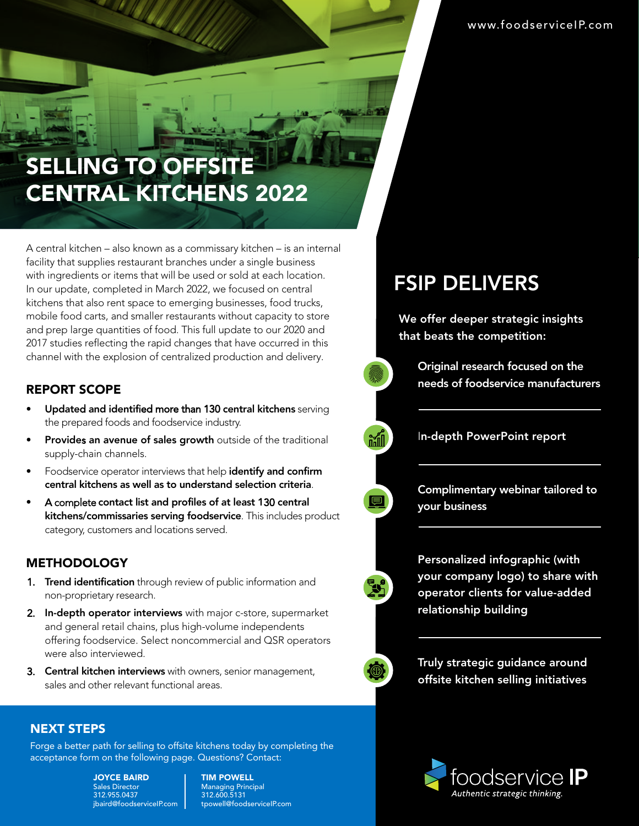### SELLING TO OFFSITE CENTRAL KITCHENS 2022

A central kitchen – also known as a commissary kitchen – is an internal facility that supplies restaurant branches under a single business with ingredients or items that will be used or sold at each location. In our update, completed in March 2022, we focused on central kitchens that also rent space to emerging businesses, food trucks, mobile food carts, and smaller restaurants without capacity to store and prep large quantities of food. This full update to our 2020 and 2017 studies reflecting the rapid changes that have occurred in this channel with the explosion of centralized production and delivery.

### REPORT SCOPE

- Updated and identified more than 130 central kitchens serving the prepared foods and foodservice industry.
- Provides an avenue of sales growth outside of the traditional supply-chain channels.
- Foodservice operator interviews that help identify and confirm central kitchens as well as to understand selection criteria.
- A complete contact list and profiles of at least 130 central kitchens/commissaries serving foodservice. This includes product category, customers and locations served.

#### **METHODOLOGY**

- 1. Trend identification through review of public information and non-proprietary research.
- 2. In-depth operator interviews with major c-store, supermarket and general retail chains, plus high-volume independents offering foodservice. Select noncommercial and QSR operators were also interviewed.
- 3. Central kitchen interviews with owners, senior management, sales and other relevant functional areas.

### NEXT STEPS

Forge a better path for selling to offsite kitchens today by completing the acceptance form on the following page. Questions? Contact:

> JOYCE BAIRD Sales Director 312.955.0437 jbaird@foodserviceIP.com

TIM POWELL Managing Principal 312.600.5131 tpowell@foodserviceIP.com

### FSIP DELIVERS

We offer deeper strategic insights that beats the competition:

> Original research focused on the needs of foodservice manufacturers

In-depth PowerPoint report

Complimentary webinar tailored to your business

Personalized infographic (with your company logo) to share with operator clients for value-added relationship building

Truly strategic guidance around offsite kitchen selling initiatives